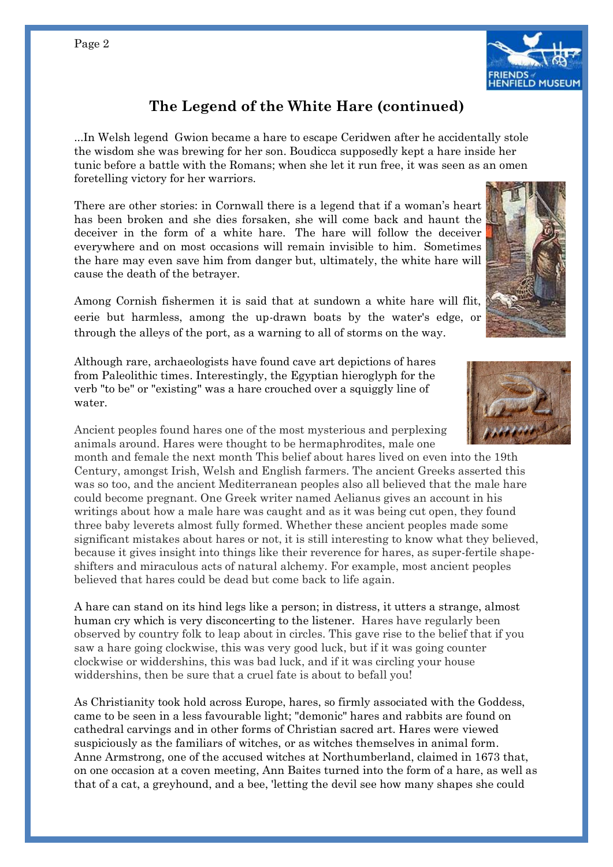

## **The Legend of the White Hare (continued)**

...In Welsh legend Gwion became a hare to escape Ceridwen after he accidentally stole the wisdom she was brewing for her son. Boudicca supposedly kept a hare inside her tunic before a battle with the Romans; when she let it run free, it was seen as an omen foretelling victory for her warriors.

There are other stories: in Cornwall there is a legend that if a woman's heart has been broken and she dies forsaken, she will come back and haunt the deceiver in the form of a white hare. The hare will follow the deceiver everywhere and on most occasions will remain invisible to him. Sometimes the hare may even save him from danger but, ultimately, the white hare will cause the death of the betrayer.

Among Cornish fishermen it is said that at sundown a white hare will flit, eerie but harmless, among the up-drawn boats by the water's edge, or through the alleys of the port, as a warning to all of storms on the way.

Although rare, archaeologists have found cave art depictions of hares from Paleolithic times. Interestingly, the Egyptian hieroglyph for the verb "to be" or "existing" was a hare crouched over a squiggly line of water.

Ancient peoples found hares one of the most mysterious and perplexing animals around. Hares were thought to be hermaphrodites, male one

month and female the next month This belief about hares lived on even into the 19th Century, amongst Irish, Welsh and English farmers. The ancient Greeks asserted this was so too, and the ancient Mediterranean peoples also all believed that the male hare could become pregnant. One Greek writer named Aelianus gives an account in his writings about how a male hare was caught and as it was being cut open, they found three baby leverets almost fully formed. Whether these ancient peoples made some significant mistakes about hares or not, it is still interesting to know what they believed, because it gives insight into things like their reverence for hares, as super-fertile shapeshifters and miraculous acts of natural alchemy. For example, most ancient peoples believed that hares could be dead but come back to life again.

A hare can stand on its hind legs like a person; in distress, it utters a strange, almost human cry which is very disconcerting to the listener. Hares have regularly been observed by country folk to leap about in circles. This gave rise to the belief that if you saw a hare going clockwise, this was very good luck, but if it was going counter clockwise or widdershins, this was bad luck, and if it was circling your house widdershins, then be sure that a cruel fate is about to befall you!

As Christianity took hold across Europe, hares, so firmly associated with the Goddess, came to be seen in a less favourable light; "demonic" hares and rabbits are found on cathedral carvings and in other forms of Christian sacred art. Hares were viewed suspiciously as [the familiars of witches, or as witches themselves in animal form.](https://www.terriwindling.com/blog/2015/10/mythic-hares.html) Anne Armstrong, one of the accused witches at Northumberland, claimed in 1673 that, on one occasion at a coven meeting, Ann Baites turned into the form of a hare, as well as that of a cat, a greyhound, and a bee, 'letting the devil see how many shapes she could